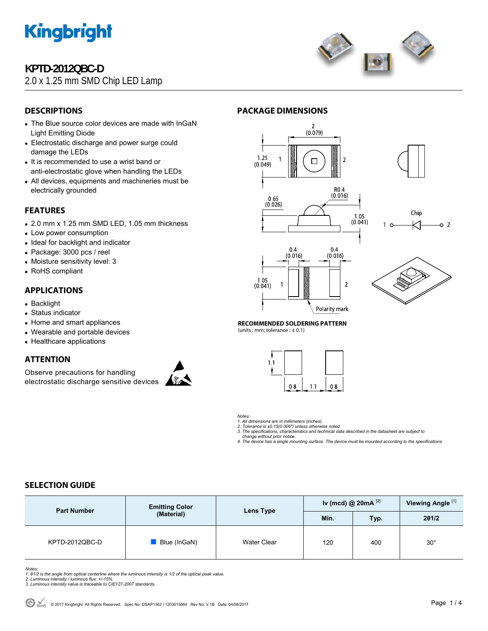

## **KPTD-2012QBC-D**

## 2.0 x 1.25 mm SMD Chip LED Lamp



## **DESCRIPTIONS**

- The Blue source color devices are made with InGaN Light Emitting Diode
- Electrostatic discharge and power surge could damage the LEDs
- It is recommended to use a wrist band or anti-electrostatic glove when handling the LEDs
- All devices, equipments and machineries must be electrically grounded

## **FEATURES**

- 2.0 mm x 1.25 mm SMD LED, 1.05 mm thickness
- Low power consumption
- Ideal for backlight and indicator
- Package: 3000 pcs / reel
- Moisture sensitivity level: 3
- RoHS compliant

### **APPLICATIONS**

- Backlight
- Status indicator
- Home and smart appliances
- Wearable and portable devices
- Healthcare applications

## **ATTENTION**

Observe precautions for handling electrostatic discharge sensitive devices







**RECOMMENDED SOLDERING PATTERN** 

(units : mm; tolerance :  $\pm$  0.1)



*Notes:* 

*1. All dimensions are in millimeters (inches). 2. Tolerance is ±0.15(0.006") unless otherwise noted.* 

- *3. The specifications, characteristics and technical data described in the datasheet are subject to* 
	- *change without prior notice.*
- *4. The device has a single mounting surface. The device must be mounted according to the specifications.*

## **SELECTION GUIDE**

| <b>Part Number</b> | <b>Emitting Color</b><br>(Material) | Lens Type          | Iv (mcd) @ $20mA$ <sup>[2]</sup> |      | Viewing Angle <sup>[1]</sup> |
|--------------------|-------------------------------------|--------------------|----------------------------------|------|------------------------------|
|                    |                                     |                    | Min.                             | Typ. | 201/2                        |
| KPTD-2012QBC-D     | Blue (InGaN)                        | <b>Water Clear</b> | 120                              | 400  | $30^{\circ}$                 |

*Notes:* 

- *1. θ1/2 is the angle from optical centerline where the luminous intensity is 1/2 of the optical peak value. 2. Luminous intensity / luminous flux: +/-15%.*
- 
- *3. Luminous intensity value is traceable to CIE127-2007 standards.*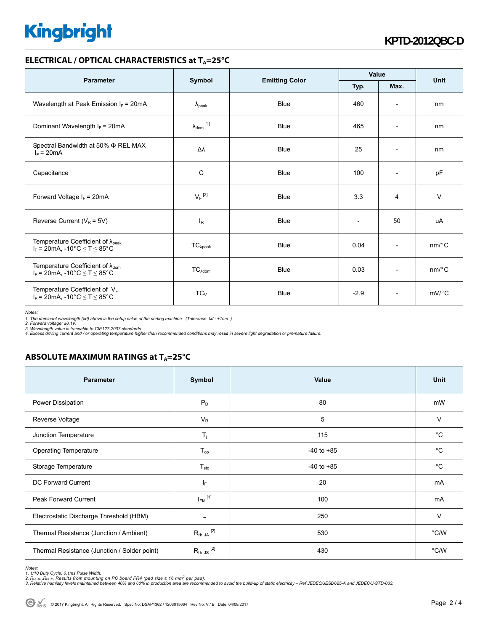# **Kingbright**

### **ELECTRICAL / OPTICAL CHARACTERISTICS at T<sub>A</sub>=25°C**

| <b>Parameter</b>                                                                                                          | Symbol                     |                       | Value                    |                          | <b>Unit</b>           |
|---------------------------------------------------------------------------------------------------------------------------|----------------------------|-----------------------|--------------------------|--------------------------|-----------------------|
|                                                                                                                           |                            | <b>Emitting Color</b> | Typ.                     | Max.                     |                       |
| Wavelength at Peak Emission $I_F$ = 20mA                                                                                  | $\lambda_{\rm peak}$       | <b>Blue</b>           | 460                      | $\overline{\phantom{a}}$ | nm                    |
| Dominant Wavelength $I_F = 20 \text{mA}$                                                                                  | $\lambda_{\text{dom}}$ [1] | <b>Blue</b>           | 465                      | $\overline{\phantom{a}}$ | nm                    |
| Spectral Bandwidth at 50% $\Phi$ REL MAX<br>$I_F = 20mA$                                                                  | Δλ                         | <b>Blue</b>           | 25                       | $\overline{\phantom{a}}$ | nm                    |
| Capacitance                                                                                                               | C                          | <b>Blue</b>           | 100                      | $\overline{\phantom{a}}$ | pF                    |
| Forward Voltage $I_F = 20mA$                                                                                              | $V_F$ <sup>[2]</sup>       | <b>Blue</b>           | 3.3                      | 4                        | $\vee$                |
| Reverse Current ( $V_R$ = 5V)                                                                                             | $I_R$                      | <b>Blue</b>           | $\overline{\phantom{a}}$ | 50                       | uA                    |
| Temperature Coefficient of $\lambda_{peak}$<br>$I_F = 20 \text{mA}, -10^{\circ} \text{C} \leq T \leq 85^{\circ} \text{C}$ | $TC_{\lambda peak}$        | <b>Blue</b>           | 0.04                     | $\overline{\phantom{a}}$ | $nm$ <sup>o</sup> $C$ |
| Temperature Coefficient of $\lambda_{\text{dom}}$<br>$I_F = 20mA$ , -10°C $\le T \le 85$ °C                               | TC <sub>Adam</sub>         | <b>Blue</b>           | 0.03                     | $\overline{\phantom{a}}$ | $nm$ /°C              |
| Temperature Coefficient of VF<br>$I_F = 20 \text{mA}, -10^{\circ} \text{C} \leq T \leq 85^{\circ} \text{C}$               | $TC_V$                     | <b>Blue</b>           | $-2.9$                   | $\overline{\phantom{a}}$ | $mV$ <sup>o</sup> $C$ |

*Notes:* 

1. The dominant wavelength (λd) above is the setup value of the sorting machine. (Tolerance λd : ±1nm. )<br>2. Forward voltage: ±0.1V.<br>3. Wavelength value is traceable to CIE127-2007 standards.<br>4. Excess driving current and

## **ABSOLUTE MAXIMUM RATINGS at T<sub>A</sub>=25°C**

| <b>Parameter</b>                             | Symbol                   | Value          | Unit          |
|----------------------------------------------|--------------------------|----------------|---------------|
| Power Dissipation                            | $P_D$                    | 80             | mW            |
| Reverse Voltage                              | $V_R$                    | 5              | V             |
| Junction Temperature                         | $T_{j}$                  | 115            | $^{\circ}C$   |
| <b>Operating Temperature</b>                 | $T_{op}$                 | $-40$ to $+85$ | $^{\circ}C$   |
| Storage Temperature                          | $T_{\text{stg}}$         | $-40$ to $+85$ | $^{\circ}C$   |
| DC Forward Current                           | IF.                      | 20             | mA            |
| Peak Forward Current                         | $I_{FM}$ <sup>[1]</sup>  | 100            | mA            |
| Electrostatic Discharge Threshold (HBM)      | $\overline{\phantom{a}}$ | 250            | $\vee$        |
| Thermal Resistance (Junction / Ambient)      | $R_{th}$ JA $^{[2]}$     | 530            | °C/W          |
| Thermal Resistance (Junction / Solder point) | $R_{th}$ JS $^{[2]}$     | 430            | $\degree$ C/W |

*Notes:* 

1. 1/10 Duty Cycle, 0.1ms Pulse Width.<br>2. R<sub>th Ju</sub> ,R<sub>h JS</sub> Results from mounting on PC board FR4 (pad size ≥ 16 mm² per pad).<br>3. Relative humidity levels maintained between 40% and 60% in production area are recommended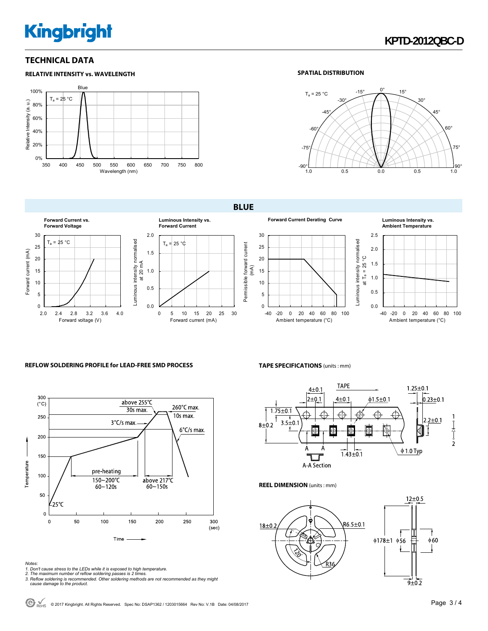# **Kingbright**

**RELATIVE INTENSITY vs. WAVELENGTH**

## **TECHNICAL DATA**

#### Blue 100%  $T_a = 25 °C$ Relative Intensity (a. u.) Relative Intensity (a. u.) 80% 60% 40% 20% 0% 350 400 450 500 550 600 650 700 750 800 Wavelength (nm)

#### **SPATIAL DISTRIBUTION**



#### **BLUE**



#### **Forward Current Derating Curve Luminous Intensity vs.**



### **Ambient Temperature**



#### **REFLOW SOLDERING PROFILE for LEAD-FREE SMD PROCESS**



#### **TAPE SPECIFICATIONS** (units : mm)



Luminous intensity normalised

#### **REEL DIMENSION** (units : mm)



*Notes:* 

- 
- 1. Don't cause stress to the LEDs while it is exposed to high temperature.<br>2. The maximum number of reflow soldering passes is 2 times.<br>3. Reflow soldering is recommended. Other soldering methods are not recommended as the  *cause damage to the product.*